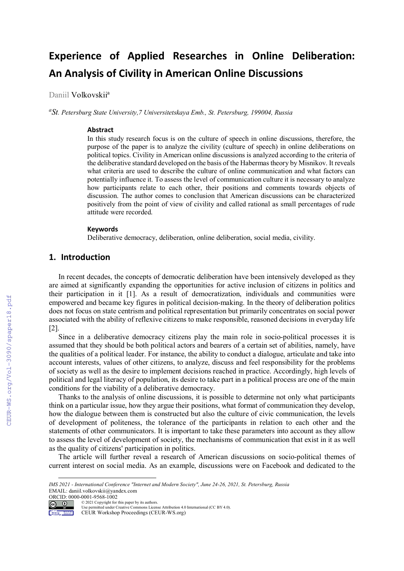# **Experience of Applied Researches in Online Deliberation: An Analysis of Civility in American Online Discussions**

Daniil Volkovskij<sup>a</sup>

*a St. Petersburg State University,7 Universitetskaya Emb., St. Petersburg, 199004, Russia*

#### **Abstract**

In this study research focus is on the culture of speech in online discussions, therefore, the purpose of the paper is to analyze the civility (culture of speech) in online deliberations on political topics. Civility in American online discussions is analyzed according to the criteria of the deliberative standard developed on the basis of the Habermas theory by Misnikov. It reveals what criteria are used to describe the culture of online communication and what factors can potentially influence it. To assess the level of communication culture it is necessary to analyze how participants relate to each other, their positions and comments towards objects of discussion. The author comes to conclusion that American discussions can be characterized positively from the point of view of civility and called rational as small percentages of rude attitude were recorded.

#### **Keywords 1**

Deliberative democracy, deliberation, online deliberation, social media, civility.

### **1. Introduction**

In recent decades, the concepts of democratic deliberation have been intensively developed as they are aimed at significantly expanding the opportunities for active inclusion of citizens in politics and their participation in it [1]. As a result of democratization, individuals and communities were empowered and became key figures in political decision-making. In the theory of deliberation politics does not focus on state centrism and political representation but primarily concentrates on social power associated with the ability of reflexive citizens to make responsible, reasoned decisions in everyday life [2].

Since in a deliberative democracy citizens play the main role in socio-political processes it is assumed that they should be both political actors and bearers of a certain set of abilities, namely, have the qualities of a political leader. For instance, the ability to conduct a dialogue, articulate and take into account interests, values of other citizens, to analyze, discuss and feel responsibility for the problems of society as well as the desire to implement decisions reached in practice. Accordingly, high levels of political and legal literacy of population, its desire to take part in a political process are one of the main conditions for the viability of a deliberative democracy.

Thanks to the analysis of online discussions, it is possible to determine not only what participants think on a particular issue, how they argue their positions, what format of communication they develop, how the dialogue between them is constructed but also the culture of civic communication, the levels of development of politeness, the tolerance of the participants in relation to each other and the statements of other communicators. It is important to take these parameters into account as they allow to assess the level of development of society, the mechanisms of communication that exist in it as well as the quality of citizens' participation in politics.

The article will further reveal a research of American discussions on socio-political themes of current interest on social media. As an example, discussions were on Facebook and dedicated to the

*IMS 2021 - International Conference "Internet and Modern Society", June 24-26, 2021, St. Petersburg, Russia* EMAIL: daniil.volkovskii@yandex.com



© 2021 Copyright for this paper by its authors. Use permitted under Creative Commons License Attribution 4.0 International (CC BY 4.0).

CEUR Workshop Proceedings (CEUR-WS.org)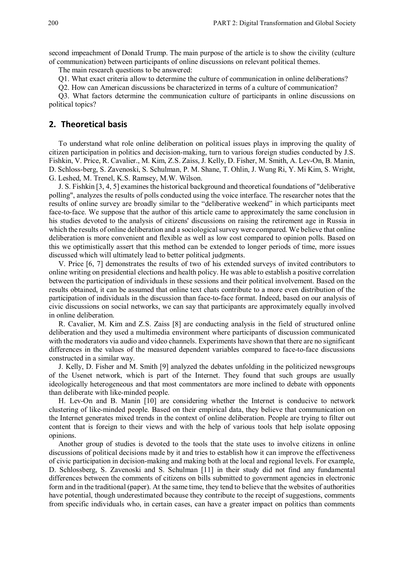second impeachment of Donald Trump. The main purpose of the article is to show the civility (culture of communication) between participants of online discussions on relevant political themes.

The main research questions to be answered:

Q1. What exact criteria allow to determine the culture of communication in online deliberations?

Q2. How can American discussions be characterized in terms of a culture of communication?

Q3. What factors determine the communication culture of participants in online discussions on political topics?

## **2. Theoretical basis**

To understand what role online deliberation on political issues plays in improving the quality of citizen participation in politics and decision-making, turn to various foreign studies conducted by J.S. Fishkin, V. Price, R. Cavalier., M. Kim, Z.S. Zaiss, J. Kelly, D. Fisher, M. Smith, A. Lev-On, B. Manin, D. Schloss-berg, S. Zavenoski, S. Schulman, P. M. Shane, T. Ohlin, J. Wung Ri, Y. Mi Kim, S. Wright, G. Leshed, M. Trenel, K.S. Ramsey, M.W. Wilson.

J. S. Fishkin [3, 4, 5] examines the historical background and theoretical foundations of "deliberative polling", analyzes the results of polls conducted using the voice interface. The researcher notes that the results of online survey are broadly similar to the "deliberative weekend" in which participants meet face-to-face. We suppose that the author of this article came to approximately the same conclusion in his studies devoted to the analysis of citizens' discussions on raising the retirement age in Russia in which the results of online deliberation and a sociological survey were compared. We believe that online deliberation is more convenient and flexible as well as low cost compared to opinion polls. Based on this we optimistically assert that this method can be extended to longer periods of time, more issues discussed which will ultimately lead to better political judgments.

V. Price [6, 7] demonstrates the results of two of his extended surveys of invited contributors to online writing on presidential elections and health policy. He was able to establish a positive correlation between the participation of individuals in these sessions and their political involvement. Based on the results obtained, it can be assumed that online text chats contribute to a more even distribution of the participation of individuals in the discussion than face-to-face format. Indeed, based on our analysis of civic discussions on social networks, we can say that participants are approximately equally involved in online deliberation.

R. Cavalier, M. Kim and Z.S. Zaiss [8] are conducting analysis in the field of structured online deliberation and they used a multimedia environment where participants of discussion communicated with the moderators via audio and video channels. Experiments have shown that there are no significant differences in the values of the measured dependent variables compared to face-to-face discussions constructed in a similar way.

J. Kelly, D. Fisher and M. Smith [9] analyzed the debates unfolding in the politicized newsgroups of the Usenet network, which is part of the Internet. They found that such groups are usually ideologically heterogeneous and that most commentators are more inclined to debate with opponents than deliberate with like-minded people.

H. Lev-On and B. Manin [10] are considering whether the Internet is conducive to network clustering of like-minded people. Based on their empirical data, they believe that communication on the Internet generates mixed trends in the context of online deliberation. People are trying to filter out content that is foreign to their views and with the help of various tools that help isolate opposing opinions.

Another group of studies is devoted to the tools that the state uses to involve citizens in online discussions of political decisions made by it and tries to establish how it can improve the effectiveness of civic participation in decision-making and making both at the local and regional levels. For example, D. Schlossberg, S. Zavenoski and S. Schulman [11] in their study did not find any fundamental differences between the comments of citizens on bills submitted to government agencies in electronic form and in the traditional (paper). At the same time, they tend to believe that the websites of authorities have potential, though underestimated because they contribute to the receipt of suggestions, comments from specific individuals who, in certain cases, can have a greater impact on politics than comments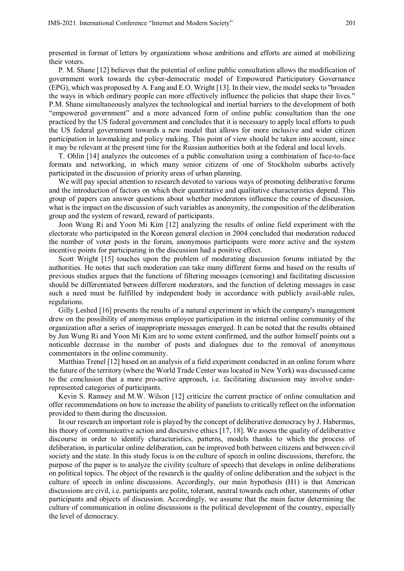presented in format of letters by organizations whose ambitions and efforts are aimed at mobilizing their voters.

P. M. Shane [12] believes that the potential of online public consultation allows the modification of government work towards the cyber-democratic model of Empowered Participatory Governance (EPG), which was proposed by A. Fang and E.O. Wright [13]. In their view, the model seeks to "broaden the ways in which ordinary people can more effectively influence the policies that shape their lives." P.M. Shane simultaneously analyzes the technological and inertial barriers to the development of both "empowered government" and a more advanced form of online public consultation than the one practiced by the US federal government and concludes that it is necessary to apply local efforts to push the US federal government towards a new model that allows for more inclusive and wider citizen participation in lawmaking and policy making. This point of view should be taken into account, since it may be relevant at the present time for the Russian authorities both at the federal and local levels.

T. Ohlin [14] analyzes the outcomes of a public consultation using a combination of face-to-face formats and networking, in which many senior citizens of one of Stockholm suburbs actively participated in the discussion of priority areas of urban planning.

We will pay special attention to research devoted to various ways of promoting deliberative forums and the introduction of factors on which their quantitative and qualitative characteristics depend. This group of papers can answer questions about whether moderators influence the course of discussion, what is the impact on the discussion of such variables as anonymity, the composition of the deliberation group and the system of reward, reward of participants.

Joon Wung Ri and Yoon Mi Kim [12] analyzing the results of online field experiment with the electorate who participated in the Korean general election in 2004 concluded that moderation reduced the number of voter posts in the forum, anonymous participants were more active and the system incentive points for participating in the discussion had a positive effect.

Scott Wright [15] touches upon the problem of moderating discussion forums initiated by the authorities. He notes that such moderation can take many different forms and based on the results of previous studies argues that the functions of filtering messages (censoring) and facilitating discussion should be differentiated between different moderators, and the function of deleting messages in case such a need must be fulfilled by independent body in accordance with publicly avail-able rules, regulations.

Gilly Leshed [16] presents the results of a natural experiment in which the company's management drew on the possibility of anonymous employee participation in the internal online community of the organization after a series of inappropriate messages emerged. It can be noted that the results obtained by Jun Wung Ri and Yoon Mi Kim are to some extent confirmed, and the author himself points out a noticeable decrease in the number of posts and dialogues due to the removal of anonymous commentators in the online community.

Matthias Trenel [12] based on an analysis of a field experiment conducted in an online forum where the future of the territory (where the World Trade Center was located in New York) was discussed came to the conclusion that a more pro-active approach, i.e. facilitating discussion may involve underrepresented categories of participants.

Kevin S. Ramsey and M.W. Wilson [12] criticize the current practice of online consultation and offer recommendations on how to increase the ability of panelists to critically reflect on the information provided to them during the discussion.

In our research an important role is played by the concept of deliberative democracy by J. Habermas, his theory of communicative action and discursive ethics [17, 18]. We assess the quality of deliberative discourse in order to identify characteristics, patterns, models thanks to which the process of deliberation, in particular online deliberation, can be improved both between citizens and between civil society and the state. In this study focus is on the culture of speech in online discussions, therefore, the purpose of the paper is to analyze the civility (culture of speech) that develops in online deliberations on political topics. The object of the research is the quality of online deliberation and the subject is the culture of speech in online discussions. Accordingly, our main hypothesis (H1) is that American discussions are civil, i.e. participants are polite, tolerant, neutral towards each other, statements of other participants and objects of discussion. Accordingly, we assume that the main factor determining the culture of communication in online discussions is the political development of the country, especially the level of democracy.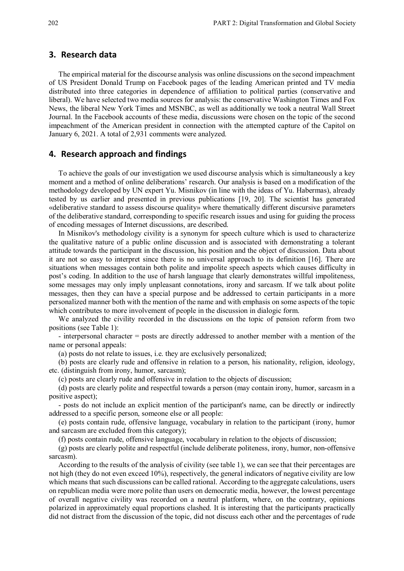#### **3. Research data**

The empirical material for the discourse analysis was online discussions on the second impeachment of US President Donald Trump on Facebook pages of the leading American printed and TV media distributed into three categories in dependence of affiliation to political parties (conservative and liberal). We have selected two media sources for analysis: the conservative Washington Times and Fox News, the liberal New York Times and MSNBC, as well as additionally we took a neutral Wall Street Journal. In the Facebook accounts of these media, discussions were chosen on the topic of the second impeachment of the American president in connection with the attempted capture of the Capitol on January 6, 2021. A total of 2,931 comments were analyzed.

#### **4. Research approach and findings**

To achieve the goals of our investigation we used discourse analysis which is simultaneously a key moment and a method of online deliberations' research. Our analysis is based on a modification of the methodology developed by UN expert Yu. Misnikov (in line with the ideas of Yu. Habermas), already tested by us earlier and presented in previous publications [19, 20]. The scientist has generated «deliberative standard to assess discourse quality» where thematically different discursive parameters of the deliberative standard, corresponding to specific research issues and using for guiding the process of encoding messages of Internet discussions, are described.

In Misnikov's methodology civility is a synonym for speech culture which is used to characterize the qualitative nature of a public online discussion and is associated with demonstrating a tolerant attitude towards the participant in the discussion, his position and the object of discussion. Data about it are not so easy to interpret since there is no universal approach to its definition [16]. There are situations when messages contain both polite and impolite speech aspects which causes difficulty in post's coding. In addition to the use of harsh language that clearly demonstrates willful impoliteness, some messages may only imply unpleasant connotations, irony and sarcasm. If we talk about polite messages, then they can have a special purpose and be addressed to certain participants in a more personalized manner both with the mention of the name and with emphasis on some aspects of the topic which contributes to more involvement of people in the discussion in dialogic form.

We analyzed the civility recorded in the discussions on the topic of pension reform from two positions (see Table 1):

- interpersonal character = posts are directly addressed to another member with a mention of the name or personal appeals:

(a) posts do not relate to issues, i.e. they are exclusively personalized;

(b) posts are clearly rude and offensive in relation to a person, his nationality, religion, ideology, etc. (distinguish from irony, humor, sarcasm);

(c) posts are clearly rude and offensive in relation to the objects of discussion;

(d) posts are clearly polite and respectful towards a person (may contain irony, humor, sarcasm in a positive aspect);

- posts do not include an explicit mention of the participant's name, can be directly or indirectly addressed to a specific person, someone else or all people:

(e) posts contain rude, offensive language, vocabulary in relation to the participant (irony, humor and sarcasm are excluded from this category);

(f) posts contain rude, offensive language, vocabulary in relation to the objects of discussion;

(g) posts are clearly polite and respectful (include deliberate politeness, irony, humor, non-offensive sarcasm).

According to the results of the analysis of civility (see table 1), we can see that their percentages are not high (they do not even exceed 10%), respectively, the general indicators of negative civility are low which means that such discussions can be called rational. According to the aggregate calculations, users on republican media were more polite than users on democratic media, however, the lowest percentage of overall negative civility was recorded on a neutral platform, where, on the contrary, opinions polarized in approximately equal proportions clashed. It is interesting that the participants practically did not distract from the discussion of the topic, did not discuss each other and the percentages of rude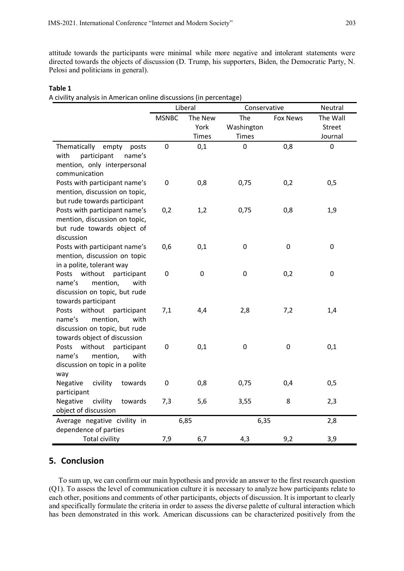attitude towards the participants were minimal while more negative and intolerant statements were directed towards the objects of discussion (D. Trump, his supporters, Biden, the Democratic Party, N. Pelosi and politicians in general).

#### **Table 1**

A civility analysis in American online discussions (in percentage)

|                                                        | Liberal      |           | Conservative |                 | Neutral       |
|--------------------------------------------------------|--------------|-----------|--------------|-----------------|---------------|
|                                                        | <b>MSNBC</b> | The New   | The          | <b>Fox News</b> | The Wall      |
|                                                        |              | York      | Washington   |                 | <b>Street</b> |
|                                                        |              | Times     | <b>Times</b> |                 | Journal       |
| Thematically<br>empty<br>posts                         | $\mathbf 0$  | 0,1       | 0            | 0,8             | $\mathbf 0$   |
| with<br>participant<br>name's                          |              |           |              |                 |               |
| mention, only interpersonal                            |              |           |              |                 |               |
| communication                                          |              |           |              |                 |               |
| Posts with participant name's                          | $\mathbf 0$  | 0,8       | 0,75         | 0,2             | 0,5           |
| mention, discussion on topic,                          |              |           |              |                 |               |
| but rude towards participant                           |              |           |              |                 |               |
| Posts with participant name's                          | 0,2          | 1,2       | 0,75         | 0,8             | 1,9           |
| mention, discussion on topic,                          |              |           |              |                 |               |
| but rude towards object of                             |              |           |              |                 |               |
| discussion                                             |              |           |              |                 |               |
| Posts with participant name's                          | 0,6          | 0,1       | 0            | $\mathbf 0$     | $\pmb{0}$     |
| mention, discussion on topic                           |              |           |              |                 |               |
| in a polite, tolerant way                              |              |           |              |                 |               |
| Posts<br>without<br>participant                        | $\pmb{0}$    | $\pmb{0}$ | 0            | 0,2             | $\pmb{0}$     |
| mention,<br>name's<br>with                             |              |           |              |                 |               |
| discussion on topic, but rude                          |              |           |              |                 |               |
| towards participant<br>without<br>Posts<br>participant | 7,1          | 4,4       | 2,8          | 7,2             | 1,4           |
| mention,<br>with<br>name's                             |              |           |              |                 |               |
| discussion on topic, but rude                          |              |           |              |                 |               |
| towards object of discussion                           |              |           |              |                 |               |
| Posts<br>without<br>participant                        | $\pmb{0}$    | 0,1       | 0            | $\pmb{0}$       | 0,1           |
| name's<br>mention,<br>with                             |              |           |              |                 |               |
| discussion on topic in a polite                        |              |           |              |                 |               |
| way                                                    |              |           |              |                 |               |
| Negative<br>civility<br>towards                        | $\pmb{0}$    | 0,8       | 0,75         | 0,4             | 0,5           |
| participant                                            |              |           |              |                 |               |
| Negative<br>civility<br>towards                        | 7,3          | 5,6       | 3,55         | 8               | 2,3           |
| object of discussion                                   |              |           |              |                 |               |
| Average negative civility in                           |              | 6,85      | 6,35         |                 | 2,8           |
| dependence of parties                                  |              |           |              |                 |               |
| <b>Total civility</b>                                  | 7,9          | 6,7       | 4,3          | 9,2             | 3,9           |

## **5. Conclusion**

To sum up, we can confirm our main hypothesis and provide an answer to the first research question (Q1). To assess the level of communication culture it is necessary to analyze how participants relate to each other, positions and comments of other participants, objects of discussion. It is important to clearly and specifically formulate the criteria in order to assess the diverse palette of cultural interaction which has been demonstrated in this work. American discussions can be characterized positively from the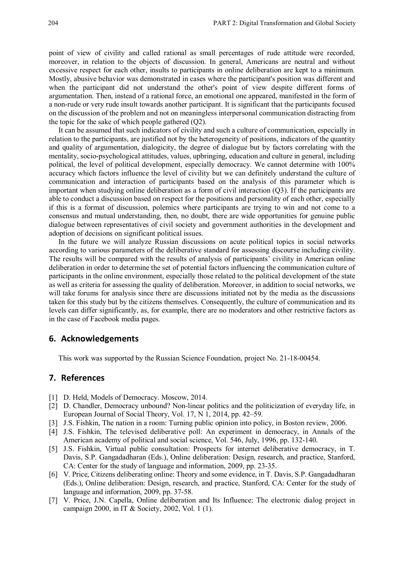point of view of civility and called rational as small percentages of rude attitude were recorded, moreover, in relation to the objects of discussion. In general, Americans are neutral and without excessive respect for each other, insults to participants in online deliberation are kept to a minimum. Mostly, abusive behavior was demonstrated in cases where the participant's position was different and when the participant did not understand the other's point of view despite different forms of argumentation. Then, instead of a rational force, an emotional one appeared, manifested in the form of a non-rude or very rude insult towards another participant. It is significant that the participants focused on the discussion of the problem and not on meaningless interpersonal communication distracting from the topic for the sake of which people gathered  $(Q2)$ .

It can be assumed that such indicators of civility and such a culture of communication, especially in relation to the participants, are justified not by the heterogeneity of positions, indicators of the quantity and quality of argumentation, dialogicity, the degree of dialogue but by factors correlating with the mentality, socio-psychological attitudes, values, upbringing, education and culture in general, including political, the level of political development, especially democracy. We cannot determine with 100% accuracy which factors influence the level of civility but we can definitely understand the culture of communication and interaction of participants based on the analysis of this parameter which is important when studying online deliberation as a form of civil interaction (Q3). If the participants are able to conduct a discussion based on respect for the positions and personality of each other, especially if this is a format of discussion, polemics where participants are trying to win and not come to a consensus and mutual understanding, then, no doubt, there are wide opportunities for genuine public dialogue between representatives of civil society and government authorities in the development and adoption of decisions on significant political issues.

In the future we will analyze Russian discussions on acute political topics in social networks according to various parameters of the deliberative standard for assessing discourse including civility. The results will be compared with the results of analysis of participants' civility in American online deliberation in order to determine the set of potential factors influencing the communication culture of participants in the online environment, especially those related to the political development of the state as well as criteria for assessing the quality of deliberation. Moreover, in addition to social networks, we will take forums for analysis since there are discussions initiated not by the media as the discussions taken for this study but by the citizens themselves. Consequently, the culture of communication and its levels can differ significantly, as, for example, there are no moderators and other restrictive factors as in the case of Facebook media pages.

#### **6. Acknowledgements**

This work was supported by the Russian Science Foundation, project No. 21-18-00454.

## **7. References**

- [1] D. Held, Models of Democracy. Moscow, 2014.
- [2] D. Chandler, Democracy unbound? Non-linear politics and the politicization of everyday life, in European Journal of Social Theory, Vol. 17, N 1, 2014, pp. 42–59.
- [3] J.S. Fishkin, The nation in a room: Turning public opinion into policy, in Boston review, 2006.
- [4] J.S. Fishkin, The televised deliberative poll: An experiment in democracy, in Annals of the American academy of political and social science, Vol. 546, July, 1996, pp. 132-140.
- [5] J.S. Fishkin, Virtual public consultation: Prospects for internet deliberative democracy, in T. Davis, S.P. Gangadadharan (Eds.), Online deliberation: Design, research, and practice, Stanford, CA: Center for the study of language and information, 2009, pp. 23-35.
- [6] V. Price, Citizens deliberating online: Theory and some evidence, in T. Davis, S.P. Gangadadharan (Eds.), Online deliberation: Design, research, and practice, Stanford, CA: Center for the study of language and information, 2009, pp. 37-58.
- [7] V. Price, J.N. Capella, Online deliberation and Its Influence: The electronic dialog project in campaign 2000, in IT & Society, 2002, Vol. 1 (1).